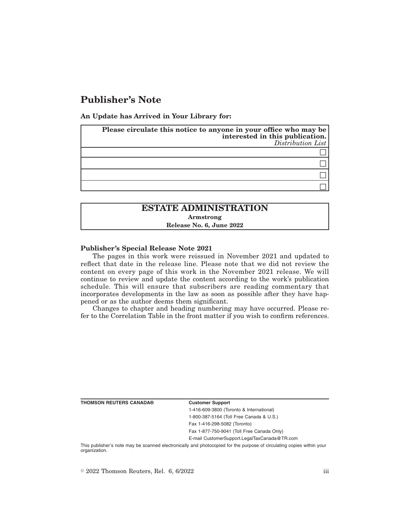# **Publisher's Note**

**An Update has Arrived in Your Library for:**

| Please circulate this notice to anyone in your office who may be<br>interested in this publication.<br>$Distribution$ List |
|----------------------------------------------------------------------------------------------------------------------------|
|                                                                                                                            |
|                                                                                                                            |
|                                                                                                                            |
|                                                                                                                            |

# **ESTATE ADMINISTRATION Armstrong Release No. 6, June 2022**

### **Publisher's Special Release Note 2021**

The pages in this work were reissued in November 2021 and updated to reflect that date in the release line. Please note that we did not review the content on every page of this work in the November 2021 release. We will continue to review and update the content according to the work's publication schedule. This will ensure that subscribers are reading commentary that incorporates developments in the law as soon as possible after they have happened or as the author deems them significant.

Changes to chapter and heading numbering may have occurred. Please refer to the Correlation Table in the front matter if you wish to confirm references.

**THOMSON REUTERS CANADA® Customer Support**

1-416-609-3800 (Toronto & International) 1-800-387-5164 (Toll Free Canada & U.S.)

Fax 1-416-298-5082 (Toronto)

Fax 1-877-750-9041 (Toll Free Canada Only)

E-mail CustomerSupport.LegalTaxCanada@TR.com

This publisher's note may be scanned electronically and photocopied for the purpose of circulating copies within your organization.

 $\degree$  2022 Thomson Reuters, Rel. 6, 6/2022 iii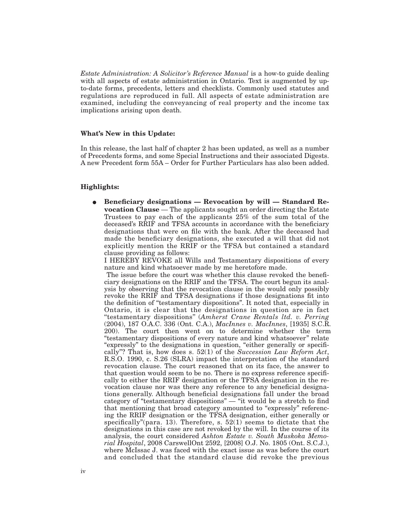*Estate Administration: A Solicitor's Reference Manual* is a how-to guide dealing with all aspects of estate administration in Ontario. Text is augmented by upto-date forms, precedents, letters and checklists. Commonly used statutes and regulations are reproduced in full. All aspects of estate administration are examined, including the conveyancing of real property and the income tax implications arising upon death.

### **What's New in this Update:**

In this release, the last half of chapter 2 has been updated, as well as a number of Precedents forms, and some Special Instructions and their associated Digests. A new Precedent form 55A – Order for Further Particulars has also been added.

### **Highlights:**

E **Beneficiary designations — Revocation by will — Standard Revocation Clause** — The applicants sought an order directing the Estate Trustees to pay each of the applicants 25% of the sum total of the deceased's RRIF and TFSA accounts in accordance with the beneficiary designations that were on file with the bank. After the deceased had made the beneficiary designations, she executed a will that did not explicitly mention the RRIF or the TFSA but contained a standard clause providing as follows:

I HEREBY REVOKE all Wills and Testamentary dispositions of every nature and kind whatsoever made by me heretofore made.

The issue before the court was whether this clause revoked the beneficiary designations on the RRIF and the TFSA. The court begun its analysis by observing that the revocation clause in the would only possibly revoke the RRIF and TFSA designations if those designations fit into the definition of ''testamentary dispositions''. It noted that, especially in Ontario, it is clear that the designations in question are in fact ''testamentary dispositions'' (*Amherst Crane Rentals ltd. v. Perring* (2004), 187 O.A.C. 336 (Ont. C.A.), *MacInnes v. MacInnes*, [1935] S.C.R. 200). The court then went on to determine whether the term ''testamentary dispositions of every nature and kind whatsoever'' relate "expressly" to the designations in question, "either generally or specifically''? That is, how does s. 52(1) of the *Succession Law Reform Act*, R.S.O. 1990, c. S.26 (SLRA) impact the interpretation of the standard revocation clause. The court reasoned that on its face, the answer to that question would seem to be no. There is no express reference specifically to either the RRIF designation or the TFSA designation in the revocation clause nor was there any reference to any beneficial designations generally. Although beneficial designations fall under the broad category of "testamentary dispositions" — "it would be a stretch to find that mentioning that broad category amounted to "expressly" referencing the RRIF designation or the TFSA designation, either generally or specifically"(para. 13). Therefore, s.  $52(1)$  seems to dictate that the designations in this case are not revoked by the will. In the course of its analysis, the court considered *Ashton Estate v. South Muskoka Memorial Hospital*, 2008 CarswellOnt 2592, [2008] O.J. No. 1805 (Ont. S.C.J.), where McIssac J. was faced with the exact issue as was before the court and concluded that the standard clause did revoke the previous